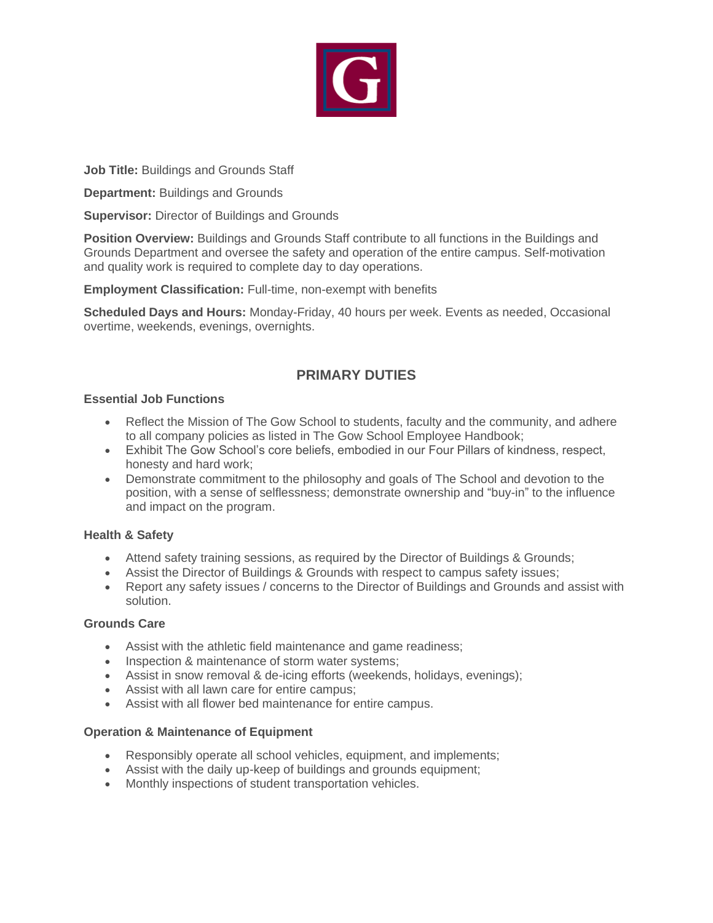

**Job Title:** Buildings and Grounds Staff

**Department:** Buildings and Grounds

**Supervisor:** Director of Buildings and Grounds

**Position Overview:** Buildings and Grounds Staff contribute to all functions in the Buildings and Grounds Department and oversee the safety and operation of the entire campus. Self-motivation and quality work is required to complete day to day operations.

**Employment Classification:** Full-time, non-exempt with benefits

**Scheduled Days and Hours:** Monday-Friday, 40 hours per week. Events as needed, Occasional overtime, weekends, evenings, overnights.

# **PRIMARY DUTIES**

## **Essential Job Functions**

- Reflect the Mission of The Gow School to students, faculty and the community, and adhere to all company policies as listed in The Gow School Employee Handbook;
- Exhibit The Gow School's core beliefs, embodied in our Four Pillars of kindness, respect, honesty and hard work;
- Demonstrate commitment to the philosophy and goals of The School and devotion to the position, with a sense of selflessness; demonstrate ownership and "buy-in" to the influence and impact on the program.

# **Health & Safety**

- Attend safety training sessions, as required by the Director of Buildings & Grounds;
- Assist the Director of Buildings & Grounds with respect to campus safety issues;
- Report any safety issues / concerns to the Director of Buildings and Grounds and assist with solution.

## **Grounds Care**

- Assist with the athletic field maintenance and game readiness;
- Inspection & maintenance of storm water systems;
- Assist in snow removal & de-icing efforts (weekends, holidays, evenings);
- Assist with all lawn care for entire campus;
- Assist with all flower bed maintenance for entire campus.

## **Operation & Maintenance of Equipment**

- Responsibly operate all school vehicles, equipment, and implements;
- Assist with the daily up-keep of buildings and grounds equipment;
- Monthly inspections of student transportation vehicles.